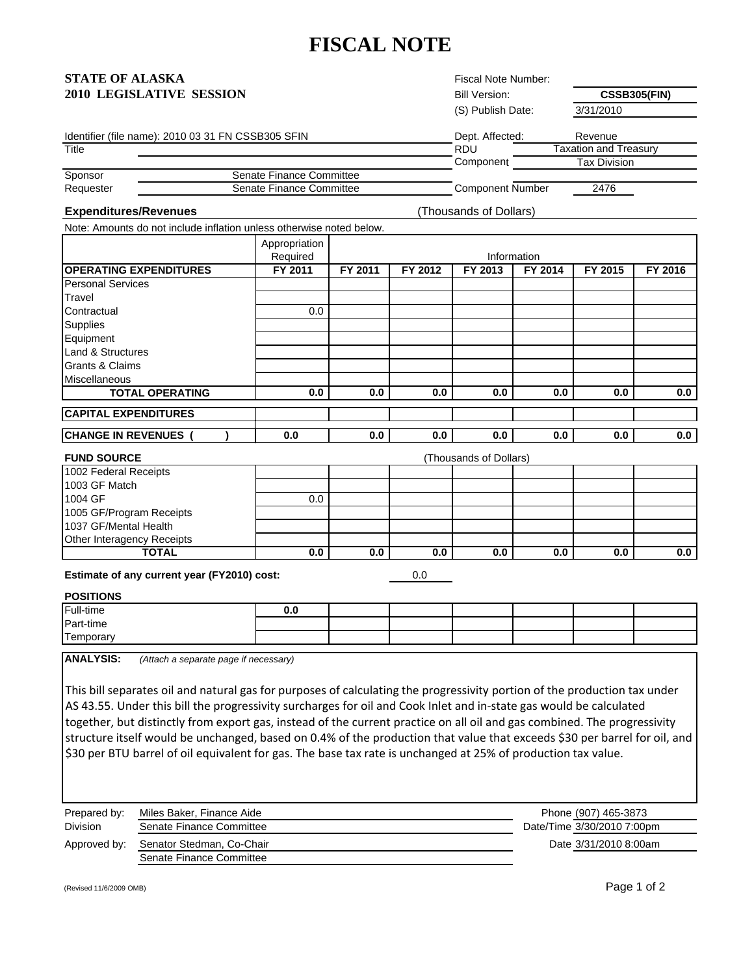# **FISCAL NOTE**

| <b>STATE OF ALASKA</b>   |  |
|--------------------------|--|
| 2010 LEGISLATIVE SESSION |  |

Fiscal Note Number: Bill Version: (S) Publish Date: 3/31/2010

**CSSB305(FIN)**

|  |  | Identifier (file name): 2010 03 31 FN CSSB305 SFIN |  |
|--|--|----------------------------------------------------|--|
|  |  |                                                    |  |

Note: Amounts do not include inflation unless otherwise noted below.

|           | Identifier (file name): 2010 03 31 FN CSSB305 SFIN | Dept. Affected:  | Revenue               |
|-----------|----------------------------------------------------|------------------|-----------------------|
| Title     |                                                    | RDU              | Taxation and Treasurv |
|           |                                                    | Component        | Tax Division          |
| Sponsor   | Senate Finance Committee                           |                  |                       |
| Requester | Senate Finance Committee                           | Component Number | 2476                  |

#### **Expenditures/Revenues**

(Thousands of Dollars)

|                               | Appropriation<br>Required |         |         |         | Information |         |         |
|-------------------------------|---------------------------|---------|---------|---------|-------------|---------|---------|
| <b>OPERATING EXPENDITURES</b> | FY 2011                   | FY 2011 | FY 2012 | FY 2013 | FY 2014     | FY 2015 | FY 2016 |
| <b>Personal Services</b>      |                           |         |         |         |             |         |         |
| Travel                        |                           |         |         |         |             |         |         |
| Contractual                   | 0.0                       |         |         |         |             |         |         |
| Supplies                      |                           |         |         |         |             |         |         |
| Equipment                     |                           |         |         |         |             |         |         |
| Land & Structures             |                           |         |         |         |             |         |         |
| Grants & Claims               |                           |         |         |         |             |         |         |
| <b>Miscellaneous</b>          |                           |         |         |         |             |         |         |
| <b>TOTAL OPERATING</b>        | 0.0                       | 0.0     | 0.0     | 0.0     | 0.0         | 0.0     | 0.0     |
| <b>CAPITAL EXPENDITURES</b>   |                           |         |         |         |             |         |         |
| <b>CHANGE IN REVENUES</b>     | 0.0                       | 0.0     | 0.0     | 0.0     | 0.0         | 0.0     | 0.0     |

| <b>FUND SOURCE</b>         | (Thousands of Dollars) |     |     |     |     |     |     |
|----------------------------|------------------------|-----|-----|-----|-----|-----|-----|
| 1002 Federal Receipts      |                        |     |     |     |     |     |     |
| 1003 GF Match              |                        |     |     |     |     |     |     |
| 1004 GF                    | $0.0\,$                |     |     |     |     |     |     |
| 1005 GF/Program Receipts   |                        |     |     |     |     |     |     |
| 1037 GF/Mental Health      |                        |     |     |     |     |     |     |
| Other Interagency Receipts |                        |     |     |     |     |     |     |
| TOTAL                      | 0.0                    | 0.0 | 0.0 | 0.0 | 0.0 | 0.0 | 0.0 |

**Estimate of any current year (FY2010) cost:** 

0.0

## **POSITIONS**

| Full-time      | v.u |  |  |  |
|----------------|-----|--|--|--|
| Part-time      |     |  |  |  |
| -<br>Femporary |     |  |  |  |

**ANALYSIS:** *(Attach a separate page if necessary)*

This bill separates oil and natural gas for purposes of calculating the progressivity portion of the production tax under AS 43.55. Under this bill the progressivity surcharges for oil and Cook Inlet and in‐state gas would be calculated together, but distinctly from export gas, instead of the current practice on all oil and gas combined. The progressivity structure itself would be unchanged, based on 0.4% of the production that value that exceeds \$30 per barrel for oil, and \$30 per BTU barrel of oil equivalent for gas. The base tax rate is unchanged at 25% of production tax value.

| Prepared by:    | Miles Baker, Finance Aide | Phone (907) 465-3873       |
|-----------------|---------------------------|----------------------------|
| <b>Division</b> | Senate Finance Committee  | Date/Time 3/30/2010 7:00pm |
| Approved by:    | Senator Stedman, Co-Chair | Date 3/31/2010 8:00am      |
|                 | Senate Finance Committee  |                            |